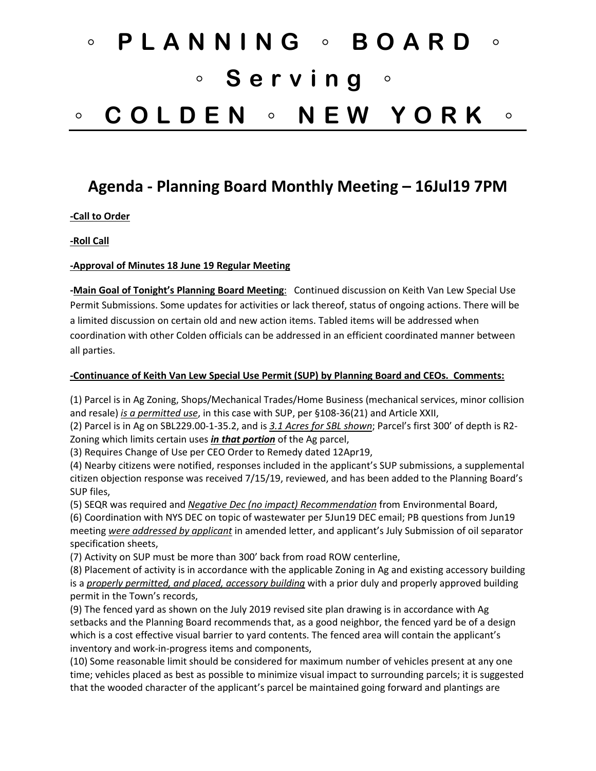## ◦ **PLANNING** ◦ **BOARD** ◦ ◦ **Serving** ◦ ◦ **COLDEN** ◦ **NEW YORK** ◦

## **Agenda - Planning Board Monthly Meeting – 16Jul19 7PM**

**-Call to Order**

**-Roll Call**

**-Approval of Minutes 18 June 19 Regular Meeting**

**-Main Goal of Tonight's Planning Board Meeting**: Continued discussion on Keith Van Lew Special Use Permit Submissions. Some updates for activities or lack thereof, status of ongoing actions. There will be a limited discussion on certain old and new action items. Tabled items will be addressed when coordination with other Colden officials can be addressed in an efficient coordinated manner between all parties.

## **-Continuance of Keith Van Lew Special Use Permit (SUP) by Planning Board and CEOs. Comments:**

(1) Parcel is in Ag Zoning, Shops/Mechanical Trades/Home Business (mechanical services, minor collision and resale) *is a permitted use*, in this case with SUP, per §108-36(21) and Article XXII,

(2) Parcel is in Ag on SBL229.00-1-35.2, and is *3.1 Acres for SBL shown*; Parcel's first 300' of depth is R2- Zoning which limits certain uses *in that portion* of the Ag parcel,

(3) Requires Change of Use per CEO Order to Remedy dated 12Apr19,

(4) Nearby citizens were notified, responses included in the applicant's SUP submissions, a supplemental citizen objection response was received 7/15/19, reviewed, and has been added to the Planning Board's SUP files,

(5) SEQR was required and *Negative Dec (no impact) Recommendation* from Environmental Board, (6) Coordination with NYS DEC on topic of wastewater per 5Jun19 DEC email; PB questions from Jun19 meeting *were addressed by applicant* in amended letter, and applicant's July Submission of oil separator

specification sheets,

(7) Activity on SUP must be more than 300' back from road ROW centerline,

(8) Placement of activity is in accordance with the applicable Zoning in Ag and existing accessory building is a *properly permitted, and placed, accessory building* with a prior duly and properly approved building permit in the Town's records,

(9) The fenced yard as shown on the July 2019 revised site plan drawing is in accordance with Ag setbacks and the Planning Board recommends that, as a good neighbor, the fenced yard be of a design which is a cost effective visual barrier to yard contents. The fenced area will contain the applicant's inventory and work-in-progress items and components,

(10) Some reasonable limit should be considered for maximum number of vehicles present at any one time; vehicles placed as best as possible to minimize visual impact to surrounding parcels; it is suggested that the wooded character of the applicant's parcel be maintained going forward and plantings are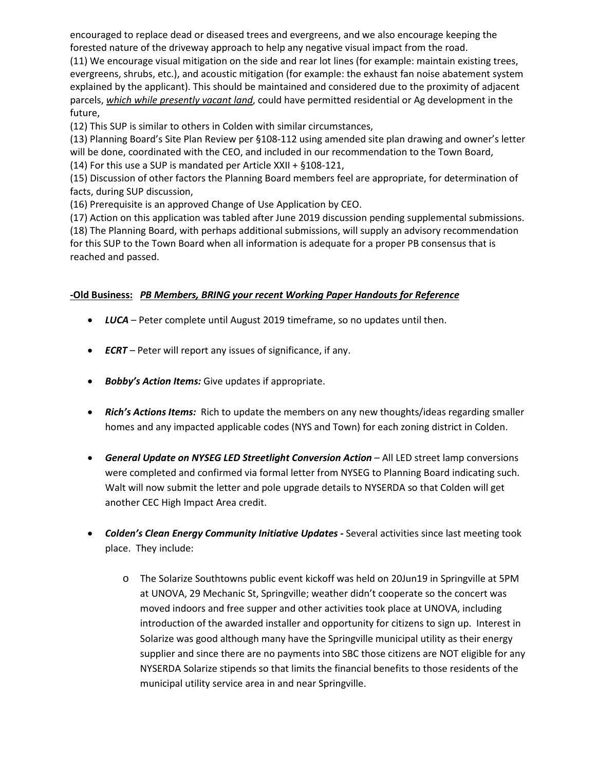encouraged to replace dead or diseased trees and evergreens, and we also encourage keeping the forested nature of the driveway approach to help any negative visual impact from the road.

(11) We encourage visual mitigation on the side and rear lot lines (for example: maintain existing trees, evergreens, shrubs, etc.), and acoustic mitigation (for example: the exhaust fan noise abatement system explained by the applicant). This should be maintained and considered due to the proximity of adjacent parcels, *which while presently vacant land*, could have permitted residential or Ag development in the future,

(12) This SUP is similar to others in Colden with similar circumstances,

(13) Planning Board's Site Plan Review per §108-112 using amended site plan drawing and owner's letter will be done, coordinated with the CEO, and included in our recommendation to the Town Board, (14) For this use a SUP is mandated per Article XXII + §108-121,

(15) Discussion of other factors the Planning Board members feel are appropriate, for determination of facts, during SUP discussion,

(16) Prerequisite is an approved Change of Use Application by CEO.

(17) Action on this application was tabled after June 2019 discussion pending supplemental submissions. (18) The Planning Board, with perhaps additional submissions, will supply an advisory recommendation for this SUP to the Town Board when all information is adequate for a proper PB consensus that is reached and passed.

## **-Old Business:** *PB Members, BRING your recent Working Paper Handouts for Reference*

- *LUCA* Peter complete until August 2019 timeframe, so no updates until then.
- *ECRT*  Peter will report any issues of significance, if any.
- *Bobby's Action Items:* Give updates if appropriate.
- *Rich's Actions Items:* Rich to update the members on any new thoughts/ideas regarding smaller homes and any impacted applicable codes (NYS and Town) for each zoning district in Colden.
- *General Update on NYSEG LED Streetlight Conversion Action* All LED street lamp conversions were completed and confirmed via formal letter from NYSEG to Planning Board indicating such. Walt will now submit the letter and pole upgrade details to NYSERDA so that Colden will get another CEC High Impact Area credit.
- *Colden's Clean Energy Community Initiative Updates -* Several activities since last meeting took place. They include:
	- o The Solarize Southtowns public event kickoff was held on 20Jun19 in Springville at 5PM at UNOVA, 29 Mechanic St, Springville; weather didn't cooperate so the concert was moved indoors and free supper and other activities took place at UNOVA, including introduction of the awarded installer and opportunity for citizens to sign up. Interest in Solarize was good although many have the Springville municipal utility as their energy supplier and since there are no payments into SBC those citizens are NOT eligible for any NYSERDA Solarize stipends so that limits the financial benefits to those residents of the municipal utility service area in and near Springville.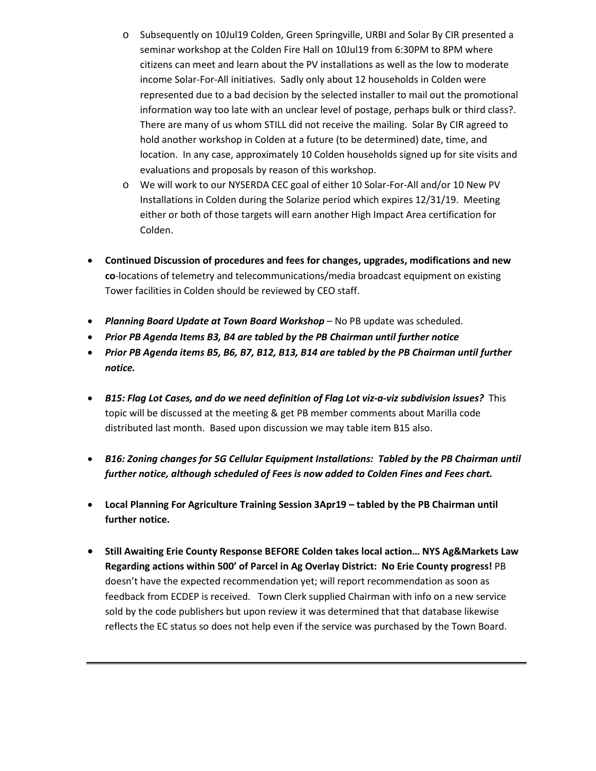- o Subsequently on 10Jul19 Colden, Green Springville, URBI and Solar By CIR presented a seminar workshop at the Colden Fire Hall on 10Jul19 from 6:30PM to 8PM where citizens can meet and learn about the PV installations as well as the low to moderate income Solar-For-All initiatives. Sadly only about 12 households in Colden were represented due to a bad decision by the selected installer to mail out the promotional information way too late with an unclear level of postage, perhaps bulk or third class?. There are many of us whom STILL did not receive the mailing. Solar By CIR agreed to hold another workshop in Colden at a future (to be determined) date, time, and location. In any case, approximately 10 Colden households signed up for site visits and evaluations and proposals by reason of this workshop.
- o We will work to our NYSERDA CEC goal of either 10 Solar-For-All and/or 10 New PV Installations in Colden during the Solarize period which expires 12/31/19. Meeting either or both of those targets will earn another High Impact Area certification for Colden.
- **Continued Discussion of procedures and fees for changes, upgrades, modifications and new co**-locations of telemetry and telecommunications/media broadcast equipment on existing Tower facilities in Colden should be reviewed by CEO staff.
- *Planning Board Update at Town Board Workshop* No PB update was scheduled.
- *Prior PB Agenda Items B3, B4 are tabled by the PB Chairman until further notice*
- *Prior PB Agenda items B5, B6, B7, B12, B13, B14 are tabled by the PB Chairman until further notice.*
- *B15: Flag Lot Cases, and do we need definition of Flag Lot viz-a-viz subdivision issues?* This topic will be discussed at the meeting & get PB member comments about Marilla code distributed last month. Based upon discussion we may table item B15 also.
- *B16: Zoning changes for 5G Cellular Equipment Installations: Tabled by the PB Chairman until further notice, although scheduled of Fees is now added to Colden Fines and Fees chart.*
- **Local Planning For Agriculture Training Session 3Apr19 – tabled by the PB Chairman until further notice.**
- **Still Awaiting Erie County Response BEFORE Colden takes local action… NYS Ag&Markets Law Regarding actions within 500' of Parcel in Ag Overlay District: No Erie County progress!** PB doesn't have the expected recommendation yet; will report recommendation as soon as feedback from ECDEP is received. Town Clerk supplied Chairman with info on a new service sold by the code publishers but upon review it was determined that that database likewise reflects the EC status so does not help even if the service was purchased by the Town Board.